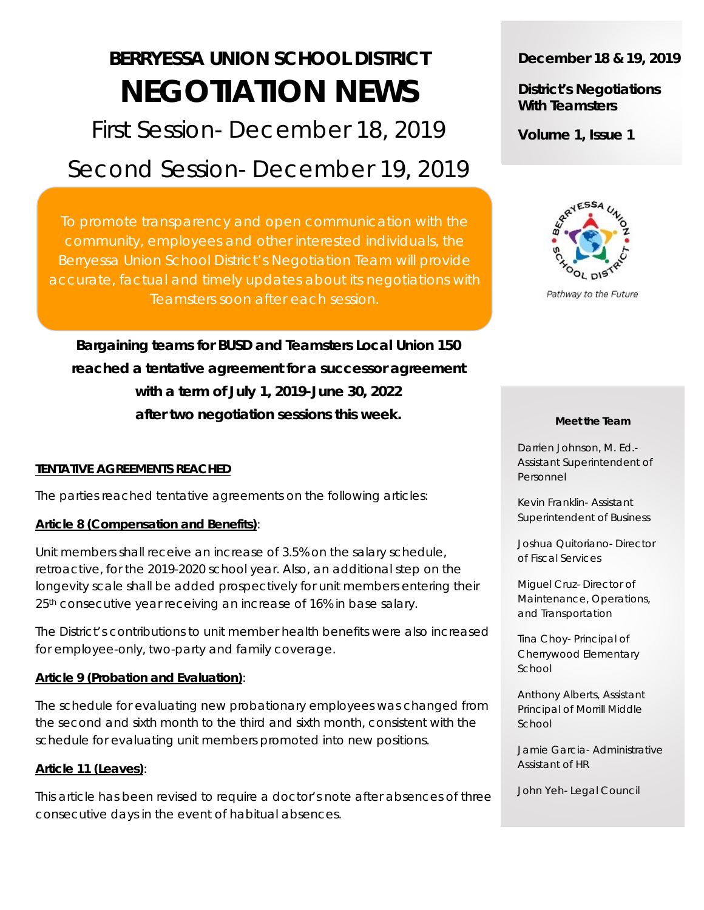# **BERRYESSA UNION SCHOOL DISTRICT NEGOTIATION NEWS**

First Session- December 18, 2019

# Second Session- December 19, 2019

To promote transparency and open communication with the community, employees and other interested individuals, the Berryessa Union School District's Negotiation Team will provide accurate, factual and timely updates about its negotiations with Teamsters soon after each session.

**Bargaining teams for BUSD and Teamsters Local Union 150 reached a tentative agreement for a successor agreement with a term of July 1, 2019-June 30, 2022 after two negotiation sessions this week.**

# **TENTATIVE AGREEMENTS REACHED**

The parties reached tentative agreements on the following articles:

# **Article 8 (Compensation and Benefits)**:

Unit members shall receive an increase of 3.5% on the salary schedule, retroactive, for the 2019-2020 school year. Also, an additional step on the longevity scale shall be added prospectively for unit members entering their 25<sup>th</sup> consecutive year receiving an increase of 16% in base salary.

The District's contributions to unit member health benefits were also increased for employee-only, two-party and family coverage.

# **Article 9 (Probation and Evaluation)**:

The schedule for evaluating new probationary employees was changed from the second and sixth month to the third and sixth month, consistent with the schedule for evaluating unit members promoted into new positions.

# **Article 11 (Leaves)**:

This article has been revised to require a doctor's note after absences of three consecutive days in the event of habitual absences.

# **December 18 & 19, 2019**

**District's Negotiations With Teamsters**

**Volume 1, Issue 1**



Pathway to the Future

#### **Meet the Team**

Darrien Johnson, M. Ed.- Assistant Superintendent of Personnel

Kevin Franklin- Assistant Superintendent of Business

Joshua Quitoriano- Director of Fiscal Services

Miguel Cruz- Director of Maintenance, Operations, and Transportation

Tina Choy- Principal of Cherrywood Elementary School

Anthony Alberts, Assistant Principal of Morrill Middle School

Jamie Garcia- Administrative Assistant of HR

John Yeh- Legal Council